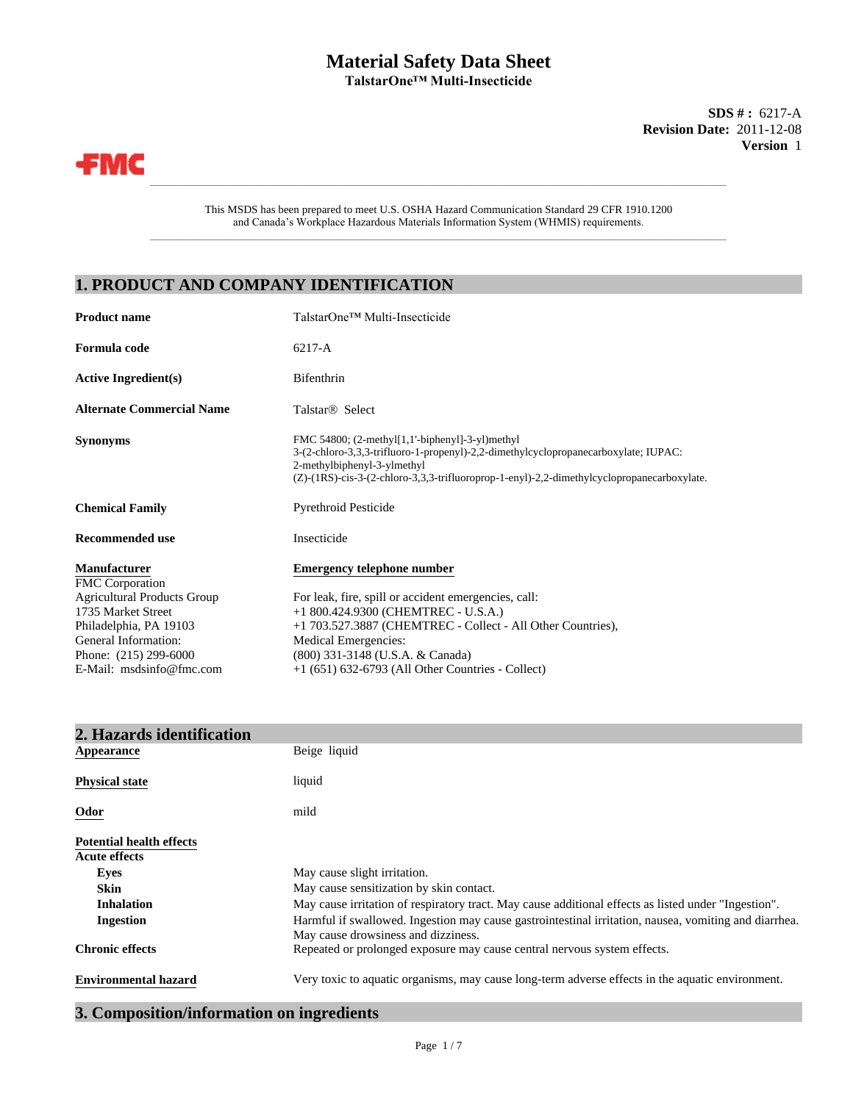## **Material Safety Data Sheet TalstarOne™ Multi-Insecticide**

**Version** 1 **SDS # :** 6217-A **Revision Date:** 2011-12-08



This MSDS has been prepared to meet U.S. OSHA Hazard Communication Standard 29 CFR 1910.1200 and Canada's Workplace Hazardous Materials Information System (WHMIS) requirements.

 $\_$  , and the set of the set of the set of the set of the set of the set of the set of the set of the set of the set of the set of the set of the set of the set of the set of the set of the set of the set of the set of th

\_\_\_\_\_\_\_\_\_\_\_\_\_\_\_\_\_\_\_\_\_\_\_\_\_\_\_\_\_\_\_\_\_\_\_\_\_\_\_\_\_\_\_\_\_\_\_\_\_\_\_\_\_\_\_\_\_\_\_\_\_\_\_\_\_\_\_\_\_\_\_\_\_\_\_\_\_\_\_\_\_\_\_\_\_\_\_\_\_\_\_\_\_

# **1. PRODUCT AND COMPANY IDENTIFICATION**

| <b>Product name</b>                           | TalstarOne™ Multi-Insecticide                                                                                                                                                                                                                                          |
|-----------------------------------------------|------------------------------------------------------------------------------------------------------------------------------------------------------------------------------------------------------------------------------------------------------------------------|
| Formula code                                  | $6217 - A$                                                                                                                                                                                                                                                             |
| <b>Active Ingredient(s)</b>                   | Bifenthrin                                                                                                                                                                                                                                                             |
| <b>Alternate Commercial Name</b>              | Talstar <sup>®</sup> Select                                                                                                                                                                                                                                            |
| <b>Synonyms</b>                               | FMC 54800; $(2-methyl[1,1'-bipheny1]-3-yl)$ methyl<br>3-(2-chloro-3,3,3-trifluoro-1-propenyl)-2,2-dimethylcyclopropanecarboxylate; IUPAC:<br>2-methylbiphenyl-3-ylmethyl<br>(Z)-(1RS)-cis-3-(2-chloro-3,3,3-trifluoroprop-1-enyl)-2,2-dimethylcyclopropanecarboxylate. |
| <b>Chemical Family</b>                        | <b>Pyrethroid Pesticide</b>                                                                                                                                                                                                                                            |
| <b>Recommended use</b>                        | Insecticide                                                                                                                                                                                                                                                            |
| <b>Manufacturer</b><br><b>FMC</b> Corporation | <b>Emergency telephone number</b>                                                                                                                                                                                                                                      |
| <b>Agricultural Products Group</b>            | For leak, fire, spill or accident emergencies, call:                                                                                                                                                                                                                   |
| 1735 Market Street                            | +1 800.424.9300 (CHEMTREC - U.S.A.)                                                                                                                                                                                                                                    |
| Philadelphia, PA 19103                        | +1 703.527.3887 (CHEMTREC - Collect - All Other Countries),                                                                                                                                                                                                            |
| General Information:                          | <b>Medical Emergencies:</b>                                                                                                                                                                                                                                            |
| Phone: (215) 299-6000                         | (800) 331-3148 (U.S.A. & Canada)                                                                                                                                                                                                                                       |
| E-Mail: msdsinfo@fmc.com                      | $+1$ (651) 632-6793 (All Other Countries - Collect)                                                                                                                                                                                                                    |

| 2. Hazards identification       |                                                                                                                                              |
|---------------------------------|----------------------------------------------------------------------------------------------------------------------------------------------|
| Appearance                      | Beige liquid                                                                                                                                 |
| <b>Physical state</b>           | liquid                                                                                                                                       |
| Odor                            | mild                                                                                                                                         |
| <b>Potential health effects</b> |                                                                                                                                              |
| <b>Acute effects</b>            |                                                                                                                                              |
| Eyes                            | May cause slight irritation.                                                                                                                 |
| <b>Skin</b>                     | May cause sensitization by skin contact.                                                                                                     |
| <b>Inhalation</b>               | May cause irritation of respiratory tract. May cause additional effects as listed under "Ingestion".                                         |
| <b>Ingestion</b>                | Harmful if swallowed. Ingestion may cause gastrointestinal irritation, nausea, vomiting and diarrhea.<br>May cause drowsiness and dizziness. |
| <b>Chronic effects</b>          | Repeated or prolonged exposure may cause central nervous system effects.                                                                     |
| <b>Environmental hazard</b>     | Very toxic to aquatic organisms, may cause long-term adverse effects in the aquatic environment.                                             |

# **3. Composition/information on ingredients**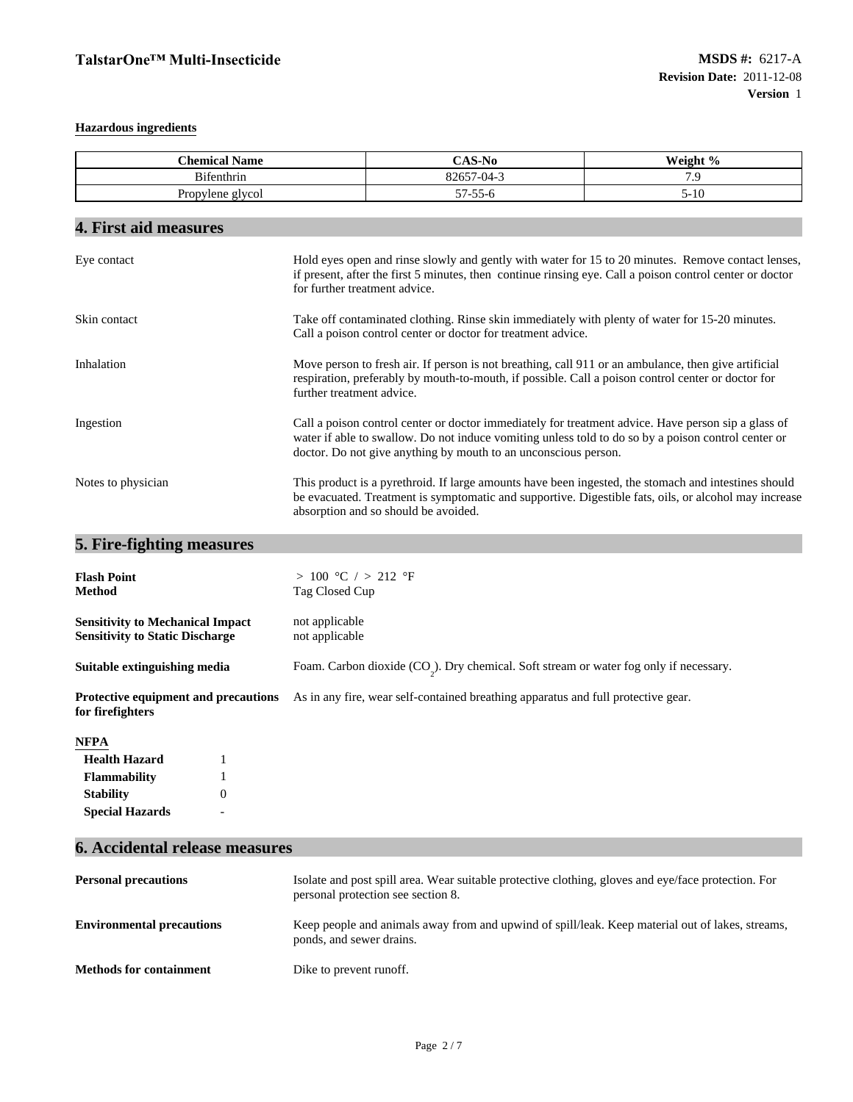## **Hazardous ingredients**

| <b>Chemical Name</b>                                                              |                                                                                                                                                                                                                                                       | CAS-No                                                                                                                                                                                                                                                                        | Weight % |
|-----------------------------------------------------------------------------------|-------------------------------------------------------------------------------------------------------------------------------------------------------------------------------------------------------------------------------------------------------|-------------------------------------------------------------------------------------------------------------------------------------------------------------------------------------------------------------------------------------------------------------------------------|----------|
| Bifenthrin                                                                        |                                                                                                                                                                                                                                                       | 82657-04-3                                                                                                                                                                                                                                                                    | 7.9      |
| Propylene glycol                                                                  |                                                                                                                                                                                                                                                       | $57 - 55 - 6$                                                                                                                                                                                                                                                                 | $5 - 10$ |
| 4. First aid measures                                                             |                                                                                                                                                                                                                                                       |                                                                                                                                                                                                                                                                               |          |
| Eye contact                                                                       | for further treatment advice.                                                                                                                                                                                                                         | Hold eyes open and rinse slowly and gently with water for 15 to 20 minutes. Remove contact lenses,<br>if present, after the first 5 minutes, then continue rinsing eye. Call a poison control center or doctor                                                                |          |
| Skin contact                                                                      |                                                                                                                                                                                                                                                       | Take off contaminated clothing. Rinse skin immediately with plenty of water for 15-20 minutes.<br>Call a poison control center or doctor for treatment advice.                                                                                                                |          |
| Inhalation                                                                        | further treatment advice.                                                                                                                                                                                                                             | Move person to fresh air. If person is not breathing, call 911 or an ambulance, then give artificial<br>respiration, preferably by mouth-to-mouth, if possible. Call a poison control center or doctor for                                                                    |          |
| Ingestion                                                                         |                                                                                                                                                                                                                                                       | Call a poison control center or doctor immediately for treatment advice. Have person sip a glass of<br>water if able to swallow. Do not induce vomiting unless told to do so by a poison control center or<br>doctor. Do not give anything by mouth to an unconscious person. |          |
| Notes to physician                                                                | This product is a pyrethroid. If large amounts have been ingested, the stomach and intestines should<br>be evacuated. Treatment is symptomatic and supportive. Digestible fats, oils, or alcohol may increase<br>absorption and so should be avoided. |                                                                                                                                                                                                                                                                               |          |
| 5. Fire-fighting measures                                                         |                                                                                                                                                                                                                                                       |                                                                                                                                                                                                                                                                               |          |
| <b>Flash Point</b><br>Method                                                      | > 100 °C / > 212 °F<br>Tag Closed Cup                                                                                                                                                                                                                 |                                                                                                                                                                                                                                                                               |          |
| <b>Sensitivity to Mechanical Impact</b><br><b>Sensitivity to Static Discharge</b> | not applicable<br>not applicable                                                                                                                                                                                                                      |                                                                                                                                                                                                                                                                               |          |
| Suitable extinguishing media                                                      |                                                                                                                                                                                                                                                       | Foam. Carbon dioxide $(CO_2)$ . Dry chemical. Soft stream or water fog only if necessary.                                                                                                                                                                                     |          |
| Protective equipment and precautions<br>for firefighters                          |                                                                                                                                                                                                                                                       | As in any fire, wear self-contained breathing apparatus and full protective gear.                                                                                                                                                                                             |          |
| NFPA                                                                              |                                                                                                                                                                                                                                                       |                                                                                                                                                                                                                                                                               |          |
| <b>Health Hazard</b><br>1                                                         |                                                                                                                                                                                                                                                       |                                                                                                                                                                                                                                                                               |          |
| Flammability                                                                      |                                                                                                                                                                                                                                                       |                                                                                                                                                                                                                                                                               |          |
| <b>Stability</b><br>$\boldsymbol{0}$                                              |                                                                                                                                                                                                                                                       |                                                                                                                                                                                                                                                                               |          |
| <b>Special Hazards</b>                                                            |                                                                                                                                                                                                                                                       |                                                                                                                                                                                                                                                                               |          |
| <b>6. Accidental release measures</b>                                             |                                                                                                                                                                                                                                                       |                                                                                                                                                                                                                                                                               |          |
| <b>Personal precautions</b>                                                       |                                                                                                                                                                                                                                                       | Isolate and post spill area. Wear suitable protective clothing, gloves and eye/face protection. For<br>personal protection see section 8.                                                                                                                                     |          |

**Environmental precautions** Keep people and animals away from and upwind of spill/leak. Keep material out of lakes, streams, ponds, and sewer drains.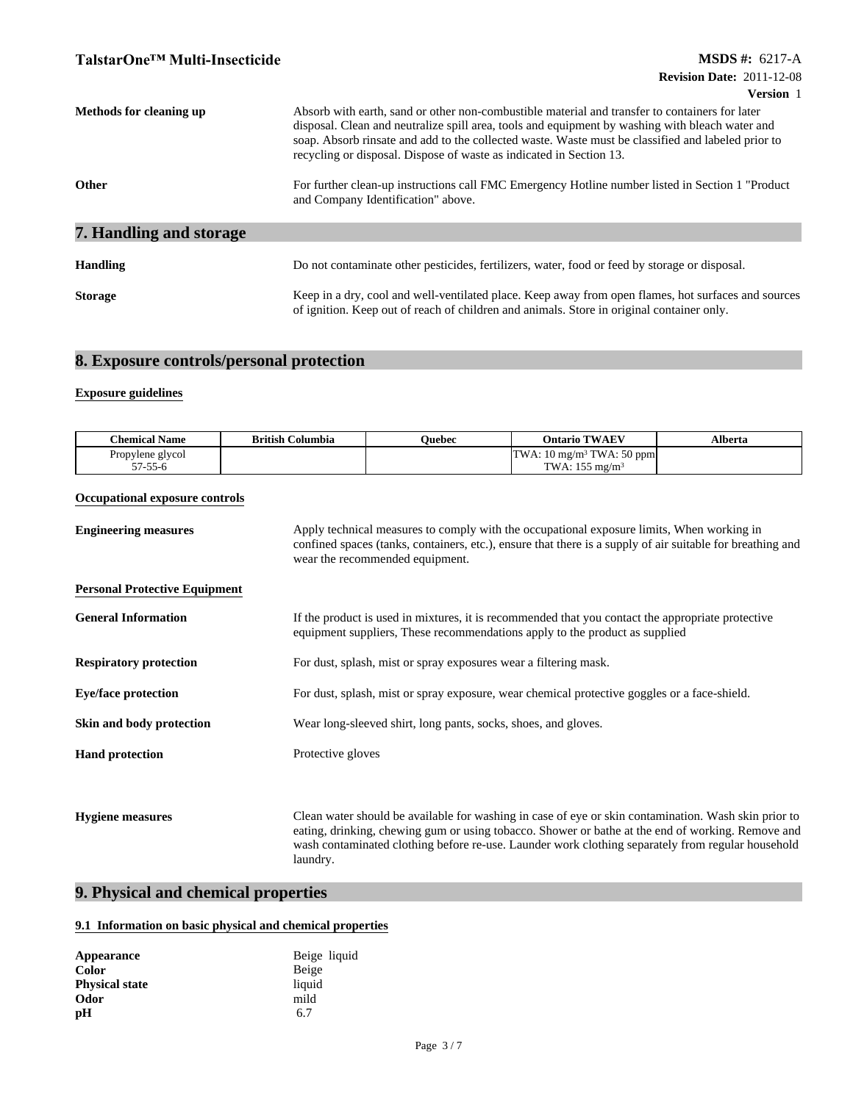| Methods for cleaning up        | Absorb with earth, sand or other non-combustible material and transfer to containers for later<br>disposal. Clean and neutralize spill area, tools and equipment by washing with bleach water and<br>soap. Absorb rinsate and add to the collected waste. Waste must be classified and labeled prior to<br>recycling or disposal. Dispose of waste as indicated in Section 13. |  |  |
|--------------------------------|--------------------------------------------------------------------------------------------------------------------------------------------------------------------------------------------------------------------------------------------------------------------------------------------------------------------------------------------------------------------------------|--|--|
| Other                          | For further clean-up instructions call FMC Emergency Hotline number listed in Section 1 "Product"<br>and Company Identification" above.                                                                                                                                                                                                                                        |  |  |
| <b>7. Handling and storage</b> |                                                                                                                                                                                                                                                                                                                                                                                |  |  |
| <b>Handling</b>                | Do not contaminate other pesticides, fertilizers, water, food or feed by storage or disposal.                                                                                                                                                                                                                                                                                  |  |  |
| <b>Storage</b>                 | Keep in a dry, cool and well-ventilated place. Keep away from open flames, hot surfaces and sources<br>of ignition. Keep out of reach of children and animals. Store in original container only.                                                                                                                                                                               |  |  |

# **8. Exposure controls/personal protection**

## **Exposure guidelines**

| $\cdots$<br><b>Chemical Name</b> | <b>British Columbia</b> | <b>Duebec</b> | <b>TWAEV</b><br>Dntario (                                | <b>M</b> herta |
|----------------------------------|-------------------------|---------------|----------------------------------------------------------|----------------|
| Propylene glycol                 |                         |               | $\frac{3}{7}$ TWA: 50 ppm<br>TWA:<br>$10 \text{ mg/m}^3$ |                |
| 57 55 6<br>J - J J-0             |                         |               | .<br>TWA.<br>5 mg/m $\rm ^5$                             |                |

## **Occupational exposure controls**

| <b>Engineering measures</b>          | Apply technical measures to comply with the occupational exposure limits, When working in<br>confined spaces (tanks, containers, etc.), ensure that there is a supply of air suitable for breathing and<br>wear the recommended equipment.                                                                                 |  |  |
|--------------------------------------|----------------------------------------------------------------------------------------------------------------------------------------------------------------------------------------------------------------------------------------------------------------------------------------------------------------------------|--|--|
| <b>Personal Protective Equipment</b> |                                                                                                                                                                                                                                                                                                                            |  |  |
| <b>General Information</b>           | If the product is used in mixtures, it is recommended that you contact the appropriate protective<br>equipment suppliers, These recommendations apply to the product as supplied                                                                                                                                           |  |  |
| <b>Respiratory protection</b>        | For dust, splash, mist or spray exposures wear a filtering mask.                                                                                                                                                                                                                                                           |  |  |
| <b>Eye/face protection</b>           | For dust, splash, mist or spray exposure, wear chemical protective goggles or a face-shield.                                                                                                                                                                                                                               |  |  |
| Skin and body protection             | Wear long-sleeved shirt, long pants, socks, shoes, and gloves.                                                                                                                                                                                                                                                             |  |  |
| <b>Hand protection</b>               | Protective gloves                                                                                                                                                                                                                                                                                                          |  |  |
|                                      |                                                                                                                                                                                                                                                                                                                            |  |  |
| <b>Hygiene measures</b>              | Clean water should be available for washing in case of eye or skin contamination. Wash skin prior to<br>eating, drinking, chewing gum or using tobacco. Shower or bathe at the end of working. Remove and<br>wash contaminated clothing before re-use. Launder work clothing separately from regular household<br>laundry. |  |  |

# **9. Physical and chemical properties**

## **9.1 Information on basic physical and chemical properties**

| Appearance            | Beige liquid |
|-----------------------|--------------|
| <b>Color</b>          | Beige        |
| <b>Physical state</b> | liquid       |
| Odor                  | mild         |
| pН                    | 6.7          |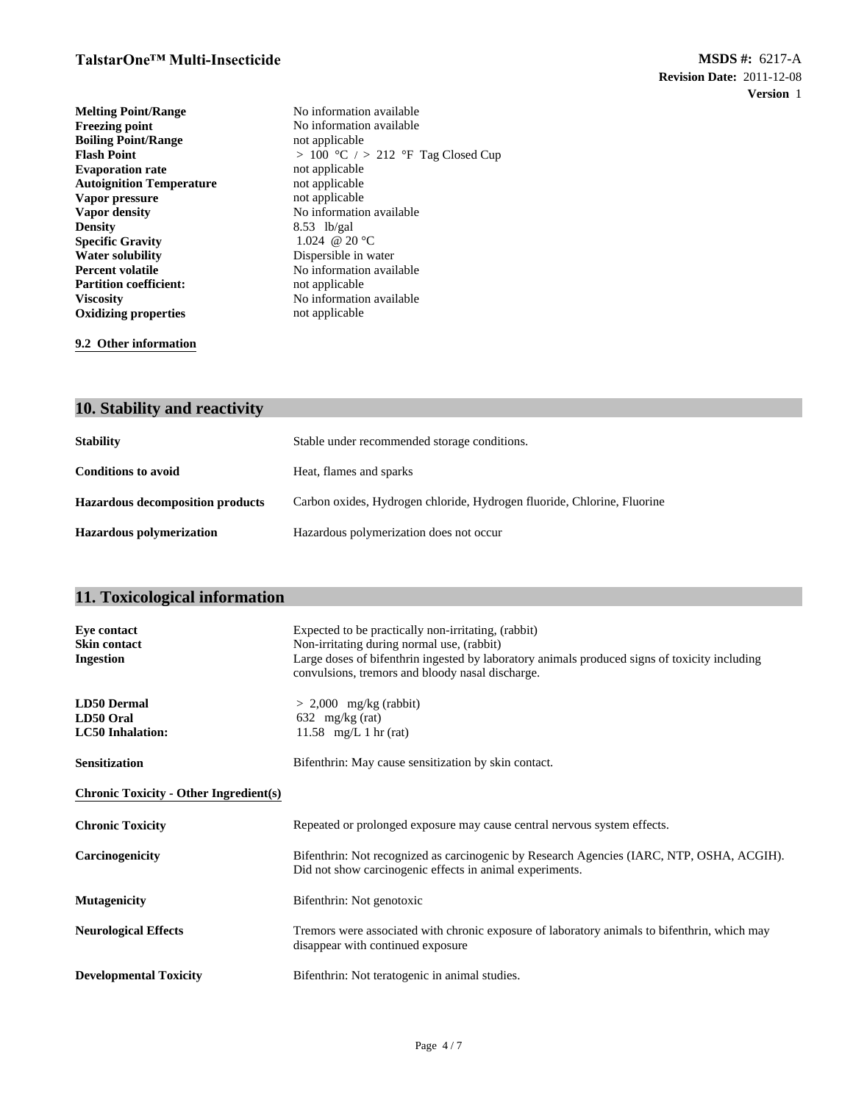**Melting Point/Range** No information available<br> **Freezing point** No information available<br>
No information available **Density** 8.53 lb/gal Specific Gravity 8.53 lb/gal 1.024 @ 20 °C **Evaporation rate** not applicable<br> **Autoignition Temperature** not applicable **Specific Gravity**<br>Water solubility **Boiling Point/Range Water solubility** Dispersible in water<br> **Percent volatile** No information avail **Autoignition Temperature** not applicable<br> **Vapor pressure** not applicable **Partition coefficient:**<br>Viscosity **Vapor pressure Flash Point Oxidizing properties Vapor density** No information available

not applicable No information available<br>not applicable **No information available Viscosity** No information available  $> 100$  °C  $/ > 212$  °F Tag Closed Cup not applicable

**9.2 Other information**

## **10. Stability and reactivity**

| <b>Stability</b>                        | Stable under recommended storage conditions.                            |
|-----------------------------------------|-------------------------------------------------------------------------|
| <b>Conditions to avoid</b>              | Heat, flames and sparks                                                 |
| <b>Hazardous decomposition products</b> | Carbon oxides, Hydrogen chloride, Hydrogen fluoride, Chlorine, Fluorine |
| <b>Hazardous polymerization</b>         | Hazardous polymerization does not occur                                 |

# **11. Toxicological information**

| <b>Eye contact</b><br><b>Skin contact</b><br>Ingestion     | Expected to be practically non-irritating, (rabbit)<br>Non-irritating during normal use, (rabbit)<br>Large doses of bifenthrin ingested by laboratory animals produced signs of toxicity including<br>convulsions, tremors and bloody nasal discharge. |
|------------------------------------------------------------|--------------------------------------------------------------------------------------------------------------------------------------------------------------------------------------------------------------------------------------------------------|
| <b>LD50 Dermal</b><br>LD50 Oral<br><b>LC50</b> Inhalation: | $> 2,000$ mg/kg (rabbit)<br>632 mg/kg (rat)<br>11.58 mg/L 1 hr (rat)                                                                                                                                                                                   |
| <b>Sensitization</b>                                       | Bifenthrin: May cause sensitization by skin contact.                                                                                                                                                                                                   |
| <b>Chronic Toxicity - Other Ingredient(s)</b>              |                                                                                                                                                                                                                                                        |
| <b>Chronic Toxicity</b>                                    | Repeated or prolonged exposure may cause central nervous system effects.                                                                                                                                                                               |
| Carcinogenicity                                            | Bifenthrin: Not recognized as carcinogenic by Research Agencies (IARC, NTP, OSHA, ACGIH).<br>Did not show carcinogenic effects in animal experiments.                                                                                                  |
| <b>Mutagenicity</b>                                        | Bifenthrin: Not genotoxic                                                                                                                                                                                                                              |
| <b>Neurological Effects</b>                                | Tremors were associated with chronic exposure of laboratory animals to bifenthrin, which may<br>disappear with continued exposure                                                                                                                      |
| <b>Developmental Toxicity</b>                              | Bifenthrin: Not teratogenic in animal studies.                                                                                                                                                                                                         |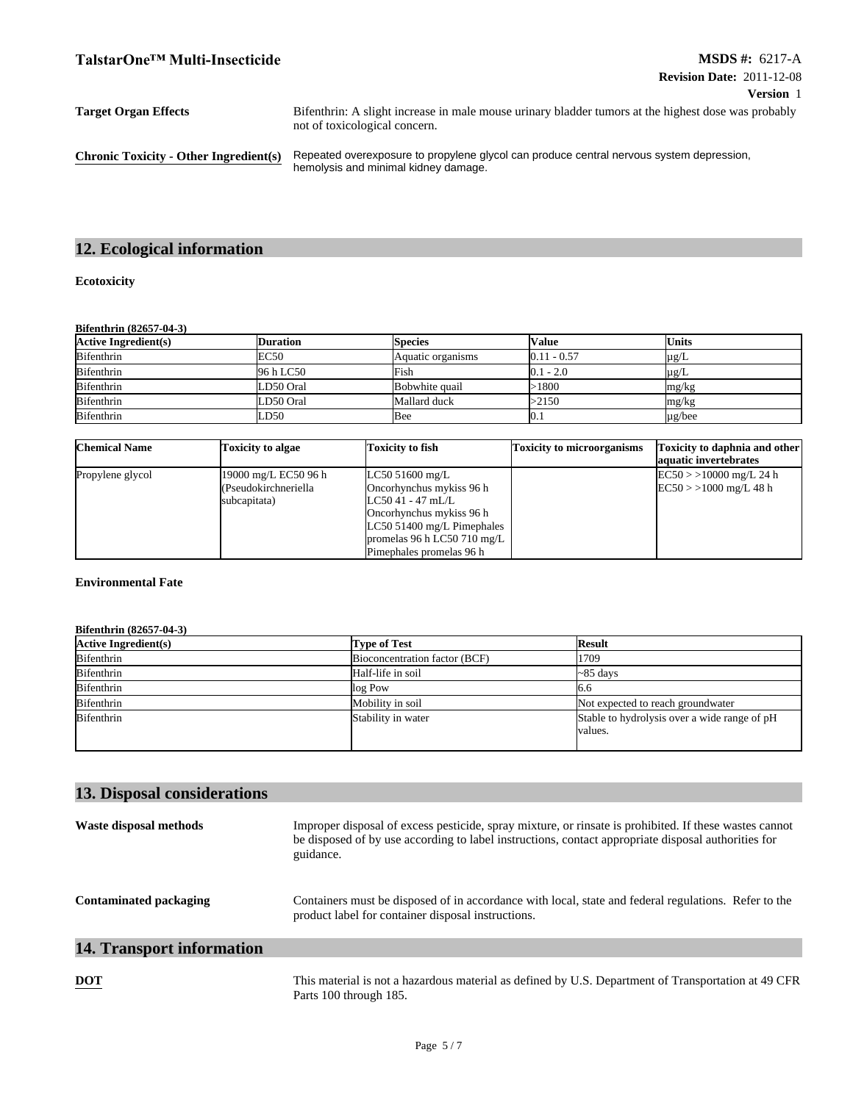| <b>Target Organ Effects</b>                   | Bifenthrin: A slight increase in male mouse urinary bladder tumors at the highest dose was probably<br>not of toxicological concern. |
|-----------------------------------------------|--------------------------------------------------------------------------------------------------------------------------------------|
| <b>Chronic Toxicity - Other Ingredient(s)</b> | Repeated overexposure to propylene glycol can produce central nervous system depression,<br>hemolysis and minimal kidney damage.     |

# **12. Ecological information**

## **Ecotoxicity**

#### **Bifenthrin (82657-04-3)**

| <b>Active Ingredient(s)</b> | Duration    | <b>Species</b>    | <b>Value</b>  | <b>Units</b> |
|-----------------------------|-------------|-------------------|---------------|--------------|
| <b>Bifenthrin</b>           | <b>EC50</b> | Aquatic organisms | $0.11 - 0.57$ | $\mu$ g/L    |
| <b>Bifenthrin</b>           | 96 h LC50   | Fish              | $0.1 - 2.0$   | $\mu$ g/L    |
| <b>Bifenthrin</b>           | LD50 Oral   | Bobwhite quail    | -1800         | mg/kg        |
| <b>Bifenthrin</b>           | LD50 Oral   | Mallard duck      | >2150         | mg/kg        |
| <b>Bifenthrin</b>           | LD50        | Bee               | U. I          | $\mu$ g/bee  |

| <b>Chemical Name</b> | Toxicity to algae    | Toxicity to fish             | Toxicity to microorganisms | Toxicity to daphnia and other<br>aquatic invertebrates |
|----------------------|----------------------|------------------------------|----------------------------|--------------------------------------------------------|
| Propylene glycol     | 19000 mg/L EC50 96 h | LC50 51600 mg/L              |                            | $EC50$ > > 10000 mg/L 24 h                             |
|                      | (Pseudokirchneriella | Oncorhynchus mykiss 96 h     |                            | $EC50$ > > 1000 mg/L 48 h                              |
|                      | subcapitata)         | $LC5041 - 47$ mL/L           |                            |                                                        |
|                      |                      | Oncorhynchus mykiss 96 h     |                            |                                                        |
|                      |                      | $LC50$ 51400 mg/L Pimephales |                            |                                                        |
|                      |                      | promelas 96 h LC50 710 mg/L  |                            |                                                        |
|                      |                      | Pimephales promelas 96 h     |                            |                                                        |

## **Environmental Fate**

#### **Bifenthrin (82657-04-3)**

| <b>Active Ingredient(s)</b> | <b>Type of Test</b>           | <b>Result</b>                                |
|-----------------------------|-------------------------------|----------------------------------------------|
| <b>Bifenthrin</b>           | Bioconcentration factor (BCF) | 1709                                         |
| Bifenthrin                  | Half-life in soil             | $\sim$ 85 days                               |
| <b>Bifenthrin</b>           | log Pow                       | 10.0                                         |
| Bifenthrin                  | Mobility in soil              | Not expected to reach groundwater            |
| Bifenthrin                  | Stability in water            | Stable to hydrolysis over a wide range of pH |
|                             |                               | values.                                      |
|                             |                               |                                              |

| 13. Disposal considerations      |                                                                                                                                                                                                                            |
|----------------------------------|----------------------------------------------------------------------------------------------------------------------------------------------------------------------------------------------------------------------------|
| Waste disposal methods           | Improper disposal of excess pesticide, spray mixture, or rinsate is prohibited. If these wastes cannot<br>be disposed of by use according to label instructions, contact appropriate disposal authorities for<br>guidance. |
| <b>Contaminated packaging</b>    | Containers must be disposed of in accordance with local, state and federal regulations. Refer to the<br>product label for container disposal instructions.                                                                 |
| <b>14. Transport information</b> |                                                                                                                                                                                                                            |
| <b>DOT</b>                       | This material is not a hazardous material as defined by U.S. Department of Transportation at 49 CFR<br>Parts 100 through 185.                                                                                              |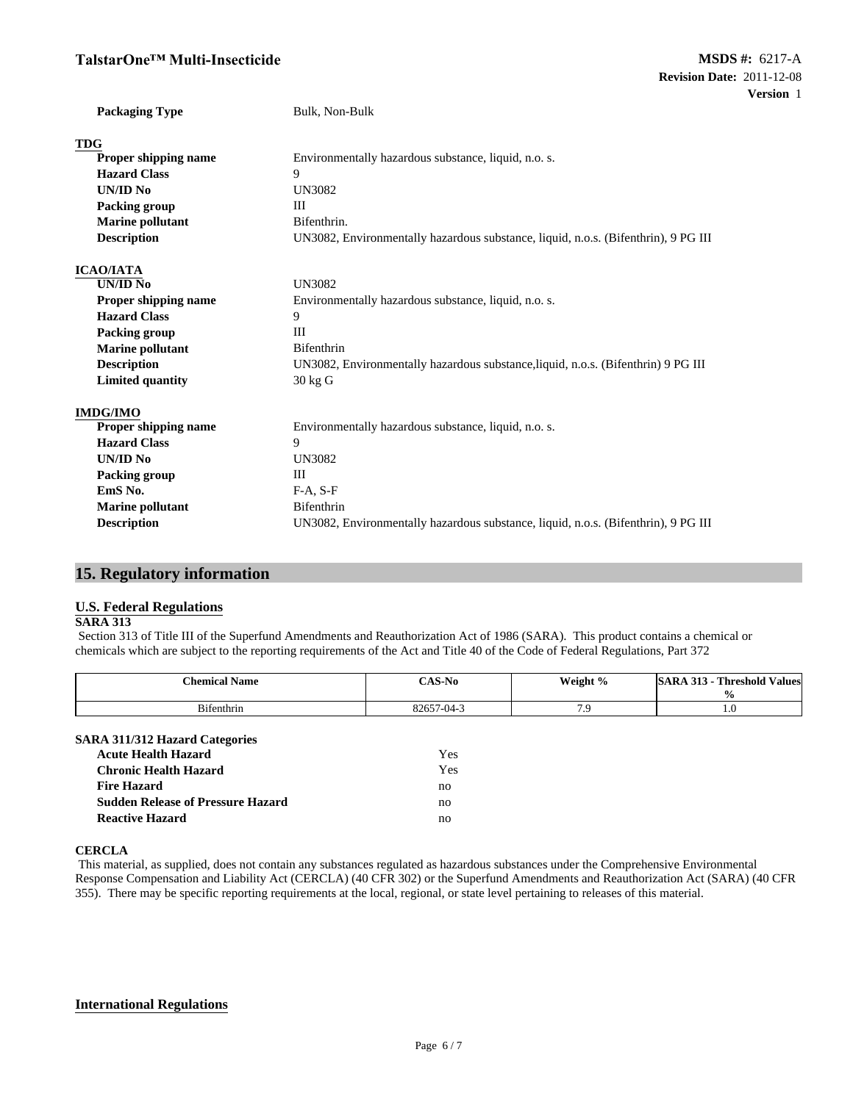## **TalstarOne™ Multi-Insecticide**

| <b>Packaging Type</b>   | Bulk, Non-Bulk                                                                     |  |
|-------------------------|------------------------------------------------------------------------------------|--|
| <b>TDG</b>              |                                                                                    |  |
| Proper shipping name    | Environmentally hazardous substance, liquid, n.o. s.                               |  |
| <b>Hazard Class</b>     | 9                                                                                  |  |
| <b>UN/ID No</b>         | <b>UN3082</b>                                                                      |  |
| <b>Packing group</b>    | III                                                                                |  |
| <b>Marine pollutant</b> | Bifenthrin.                                                                        |  |
| <b>Description</b>      | UN3082, Environmentally hazardous substance, liquid, n.o.s. (Bifenthrin), 9 PG III |  |
| <b>ICAO/IATA</b>        |                                                                                    |  |
| UN/ID No                | <b>UN3082</b>                                                                      |  |
| Proper shipping name    | Environmentally hazardous substance, liquid, n.o. s.                               |  |
| <b>Hazard Class</b>     | 9                                                                                  |  |
| Packing group           | III                                                                                |  |
| <b>Marine pollutant</b> | Bifenthrin                                                                         |  |
| <b>Description</b>      | UN3082, Environmentally hazardous substance, liquid, n.o.s. (Bifenthrin) 9 PG III  |  |
| <b>Limited quantity</b> | 30 kg G                                                                            |  |
| <b>IMDG/IMO</b>         |                                                                                    |  |
| Proper shipping name    | Environmentally hazardous substance, liquid, n.o. s.                               |  |
| <b>Hazard Class</b>     | 9                                                                                  |  |
| UN/ID No                | <b>UN3082</b>                                                                      |  |
| <b>Packing group</b>    | Ш                                                                                  |  |
| EmS No.                 | $F-A, S-F$                                                                         |  |
| <b>Marine pollutant</b> | Bifenthrin                                                                         |  |
| <b>Description</b>      | UN3082, Environmentally hazardous substance, liquid, n.o.s. (Bifenthrin), 9 PG III |  |

## **15. Regulatory information**

#### **U.S. Federal Regulations**

#### **SARA 313**

Section 313 of Title III of the Superfund Amendments and Reauthorization Act of 1986 (SARA). This product contains a chemical or chemicals which are subject to the reporting requirements of the Act and Title 40 of the Code of Federal Regulations, Part 372

| <b>Chemical Name</b>                                                                                                                                                                            | <b>CAS-No</b>                | Weight % | <b>SARA 313 - Threshold Values</b><br>$\frac{6}{9}$ |
|-------------------------------------------------------------------------------------------------------------------------------------------------------------------------------------------------|------------------------------|----------|-----------------------------------------------------|
| Bifenthrin                                                                                                                                                                                      | 82657-04-3                   | 7.9      | 1.0                                                 |
| <b>SARA 311/312 Hazard Categories</b><br><b>Acute Health Hazard</b><br><b>Chronic Health Hazard</b><br><b>Fire Hazard</b><br><b>Sudden Release of Pressure Hazard</b><br><b>Reactive Hazard</b> | Yes<br>Yes<br>no<br>no<br>no |          |                                                     |

#### **CERCLA**

This material, as supplied, does not contain any substances regulated as hazardous substances under the Comprehensive Environmental Response Compensation and Liability Act (CERCLA) (40 CFR 302) or the Superfund Amendments and Reauthorization Act (SARA) (40 CFR 355). There may be specific reporting requirements at the local, regional, or state level pertaining to releases of this material.

#### **International Regulations**